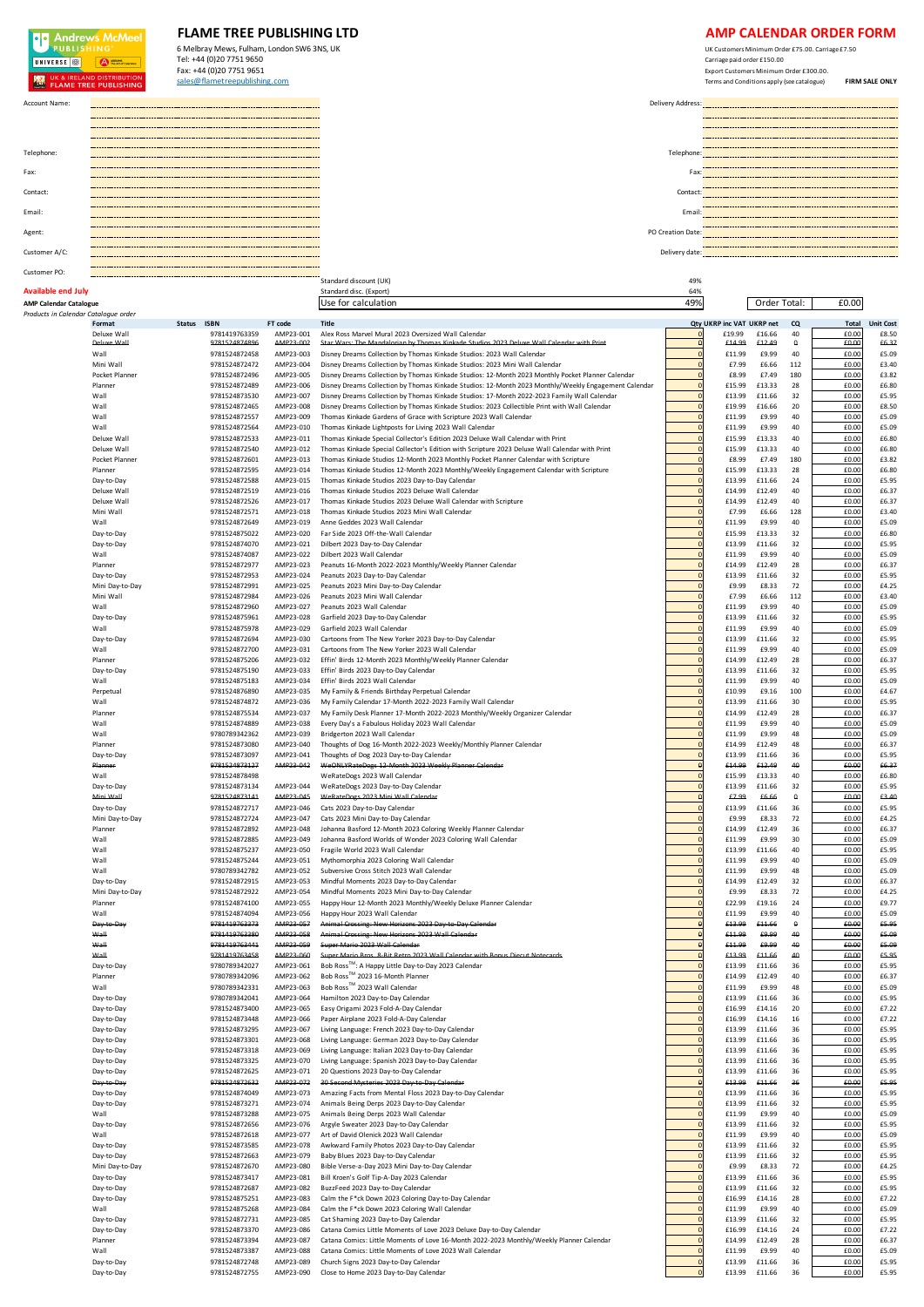## **OD** Andrews McMeel **FLAME TREE PUBLISHING LTD**<br>
6 Melbray Mews, Fulham, London SW6 3NS, UK 6 Melbray Mews, Fulham, London SW6 3NS, UK Tel: +44 (0)20 7751 9650<br>Fax: +44 (0)20 7751 9651 UNIVERSE<sup>1</sup>  $\bigoplus$   $\bigoplus$   $\bigoplus$   $\bigoplus$   $\bigoplus$   $\bigoplus$   $\bigoplus$   $\bigoplus$   $\bigoplus$   $\bigoplus$   $\bigoplus$   $\bigoplus$   $\bigoplus$   $\bigoplus$   $\bigoplus$   $\bigoplus$   $\bigoplus$   $\bigoplus$   $\bigoplus$   $\bigoplus$   $\bigoplus$   $\bigoplus$   $\bigoplus$   $\bigoplus$   $\bigoplus$   $\bigoplus$   $\bigoplus$   $\bigoplus$   $\bigoplus$   $\bigoplus$   $\bigoplus$   $\bigopl$ Fax: +44 (0)20 7751 9651 Export Customers Minimum Order £300.00. sales@flametreepublishing.com Terms and Conditions apply (see catalogue) **FIRM SALE ONLY AND UK & IRELAND DISTRIBUTION** Account Name: Delivery Address:  $\overline{\phantom{a}}$ <u> 2000a - 2000a - 200</u>  $\mathbf{r}$ Telephone: Telephone: Fax: Exercise the contract of the contract of the contract of the contract of the contract of the contract of the contract of the contract of the contract of the contract of the contract of the contract of the contract of Contact: Contact: Email: Email: \_\_\_\_\_\_\_\_\_\_ Agent: PO Creation Date: Police and the contract of the contract of the contract of the contract of the contract of the contract of the contract of the contract of the contract of the contract of the contract of the contra

**AMP Calendar Catalogue** Use for calculation 49% £0.00 Order Total:

Standard discount (UK) 49% (2008)<br>
Standard disc. (Export) 64% (2008)<br>
Standard disc. (Export) 49% (2008)

\_\_\_\_\_ Customer A/C: Delivery date:

## Customer PO: **Available end July Standard disc. (Export) Standard disc. (Export) Standard disc. (Export) 64%**

| Products in Calendar Cataloque order |                 |               |           |                                                                                                      |                |                           |        |           |       |                  |
|--------------------------------------|-----------------|---------------|-----------|------------------------------------------------------------------------------------------------------|----------------|---------------------------|--------|-----------|-------|------------------|
|                                      | Format          | Status ISBN   | FT code   | <b>Title</b>                                                                                         |                | Qty UKRP inc VAT UKRP net |        | CQ        | Total | <b>Unit Cost</b> |
|                                      |                 |               |           |                                                                                                      |                |                           |        |           | £0.00 |                  |
|                                      | Deluxe Wall     | 9781419763359 | AMP23-001 | Alex Ross Marvel Mural 2023 Oversized Wall Calendar                                                  | $\Omega$       | £19.99                    | £16.66 | 40        |       | £8.50            |
|                                      | Deluve Mall     | 9781524874896 | AMD23-002 | Star Wars: The Mandalorian by Thomas Kinkade Studios 2023 Deluxe Wall Calendar with Print            |                | £14.99                    | £12.49 | ۰         | £0.00 | £6.37            |
|                                      | Wall            | 9781524872458 | AMP23-003 | Disney Dreams Collection by Thomas Kinkade Studios: 2023 Wall Calendar                               | $\mathfrak{c}$ | £11.99                    | £9.99  | 40        | £0.00 | £5.09            |
|                                      | Mini Wall       | 9781524872472 | AMP23-004 | Disney Dreams Collection by Thomas Kinkade Studios: 2023 Mini Wall Calendar                          |                | £7.99                     | £6.66  | 112       | £0.00 | £3.40            |
|                                      | Pocket Planner  | 9781524872496 | AMP23-005 | Disney Dreams Collection by Thomas Kinkade Studios: 12-Month 2023 Monthly Pocket Planner Calendar    | $\epsilon$     | £8.99                     | £7.49  | 180       | £0.00 | £3.82            |
|                                      | Planner         |               |           | Disney Dreams Collection by Thomas Kinkade Studios: 12-Month 2023 Monthly/Weekly Engagement Calendar | $\epsilon$     |                           |        | 28        | £0.00 | £6.80            |
|                                      |                 | 9781524872489 | AMP23-006 |                                                                                                      |                | £15.99                    | £13.33 |           |       |                  |
|                                      | Wall            | 9781524873530 | AMP23-007 | Disney Dreams Collection by Thomas Kinkade Studios: 17-Month 2022-2023 Family Wall Calendar          | $\mathfrak{c}$ | £13.99                    | £11.66 | 32        | £0.00 | £5.95            |
|                                      | Wall            | 9781524872465 | AMP23-008 | Disney Dreams Collection by Thomas Kinkade Studios: 2023 Collectible Print with Wall Calendar        |                | £19.99                    | £16.66 | 20        | £0.00 | £8.50            |
|                                      | Wall            | 9781524872557 | AMP23-009 | Thomas Kinkade Gardens of Grace with Scripture 2023 Wall Calendar                                    |                | £11.99                    | £9.99  | 40        | £0.00 | £5.09            |
|                                      | Wall            | 9781524872564 | AMP23-010 | Thomas Kinkade Lightposts for Living 2023 Wall Calendar                                              | $\mathsf{C}$   | £11.99                    | £9.99  | 40        | £0.00 | £5.09            |
|                                      |                 |               |           |                                                                                                      |                |                           |        |           |       |                  |
|                                      | Deluxe Wall     | 9781524872533 | AMP23-011 | Thomas Kinkade Special Collector's Edition 2023 Deluxe Wall Calendar with Print                      |                | £15.99                    | £13.33 | 40        | £0.00 | £6.80            |
|                                      | Deluxe Wall     | 9781524872540 | AMP23-012 | Thomas Kinkade Special Collector's Edition with Scripture 2023 Deluxe Wall Calendar with Print       | $\mathsf{C}$   | £15.99                    | £13.33 | 40        | £0.00 | £6.80            |
|                                      | Pocket Planner  | 9781524872601 | AMP23-013 | Thomas Kinkade Studios 12-Month 2023 Monthly Pocket Planner Calendar with Scripture                  | $\epsilon$     | £8.99                     | £7.49  | 180       | £0.00 | £3.82            |
|                                      | Planner         | 9781524872595 | AMP23-014 | Thomas Kinkade Studios 12-Month 2023 Monthly/Weekly Engagement Calendar with Scripture               | $\mathfrak{c}$ | £15.99                    | £13.33 | 28        | £0.00 | £6.80            |
|                                      |                 |               |           |                                                                                                      | $\epsilon$     |                           |        |           |       |                  |
|                                      | Day-to-Day      | 9781524872588 | AMP23-015 | Thomas Kinkade Studios 2023 Day-to-Day Calendar                                                      |                | £13.99                    | £11.66 | 24        | £0.00 | £5.95            |
|                                      | Deluxe Wall     | 9781524872519 | AMP23-016 | Thomas Kinkade Studios 2023 Deluxe Wall Calendar                                                     | $\epsilon$     | £14.99                    | £12.49 | 40        | £0.00 | £6.37            |
|                                      | Deluxe Wall     | 9781524872526 | AMP23-017 | Thomas Kinkade Studios 2023 Deluxe Wall Calendar with Scripture                                      |                | £14.99                    | £12.49 | 40        | £0.00 | £6.3             |
|                                      | Mini Wall       | 9781524872571 | AMP23-018 | Thomas Kinkade Studios 2023 Mini Wall Calendar                                                       | $\mathsf{C}$   | £7.99                     | £6.66  | 128       | £0.00 | £3.40            |
|                                      | Wall            |               |           |                                                                                                      |                |                           |        | 40        |       |                  |
|                                      |                 | 9781524872649 | AMP23-019 | Anne Geddes 2023 Wall Calendar                                                                       |                | £11.99                    | £9.99  |           | £0.00 | £5.09            |
|                                      | Day-to-Day      | 9781524875022 | AMP23-020 | Far Side 2023 Off-the-Wall Calendar                                                                  | $\epsilon$     | £15.99                    | £13.33 | 32        | £0.00 | £6.80            |
|                                      | Day-to-Day      | 9781524874070 | AMP23-021 | Dilbert 2023 Day-to-Day Calendar                                                                     | $\epsilon$     | £13.99                    | £11.66 | 32        | £0.00 | £5.95            |
|                                      | Wall            | 9781524874087 | AMP23-022 | Dilbert 2023 Wall Calendar                                                                           | $\epsilon$     | £11.99                    | £9.99  | 40        | £0.00 | £5.09            |
|                                      | Planner         | 9781524872977 | AMP23-023 | Peanuts 16-Month 2022-2023 Monthly/Weekly Planner Calendar                                           |                | £14.99                    | £12.49 | 28        | £0.00 | £6.37            |
|                                      |                 |               |           |                                                                                                      |                |                           |        |           |       |                  |
|                                      | Day-to-Day      | 9781524872953 | AMP23-024 | Peanuts 2023 Day-to-Day Calendar                                                                     |                | £13.99                    | £11.66 | 32        | £0.00 | £5.95            |
|                                      | Mini Day-to-Day | 9781524872991 | AMP23-025 | Peanuts 2023 Mini Day-to-Day Calendar                                                                | $\mathfrak{c}$ | £9.99                     | £8.33  | 72        | £0.00 | £4.25            |
|                                      | Mini Wall       | 9781524872984 | AMP23-026 | Peanuts 2023 Mini Wall Calendar                                                                      |                | £7.99                     | £6.66  | 112       | £0.00 | £3.40            |
|                                      | Wall            | 9781524872960 | AMP23-027 | Peanuts 2023 Wall Calendar                                                                           | $\mathsf{C}$   | £11.99                    | £9.99  | 40        | £0.00 | £5.09            |
|                                      |                 |               |           |                                                                                                      |                |                           |        |           |       |                  |
|                                      | Day-to-Day      | 9781524875961 | AMP23-028 | Garfield 2023 Day-to-Day Calendar                                                                    | $\epsilon$     | £13.99                    | £11.66 | 32        | £0.00 | £5.95            |
|                                      | Wall            | 9781524875978 | AMP23-029 | Garfield 2023 Wall Calendar                                                                          | $\epsilon$     | £11.99                    | £9.99  | 40        | £0.00 | £5.09            |
|                                      | Day-to-Day      | 9781524872694 | AMP23-030 | Cartoons from The New Yorker 2023 Day-to-Day Calendar                                                |                | £13.99                    | £11.66 | 32        | £0.00 | £5.95            |
|                                      | Wall            | 9781524872700 | AMP23-031 | Cartoons from The New Yorker 2023 Wall Calendar                                                      | $\epsilon$     | £11.99                    | £9.99  | 40        | £0.00 | £5.09            |
|                                      |                 |               |           |                                                                                                      |                |                           |        |           |       |                  |
|                                      | Planner         | 9781524875206 | AMP23-032 | Effin' Birds 12-Month 2023 Monthly/Weekly Planner Calendar                                           |                | £14.99                    | £12.49 | 28        | £0.00 | £6.3             |
|                                      | Day-to-Day      | 9781524875190 | AMP23-033 | Effin' Birds 2023 Day-to-Day Calendar                                                                | $\mathfrak{c}$ | £13.99                    | £11.66 | 32        | £0.00 | £5.95            |
|                                      | Wall            | 9781524875183 | AMP23-034 | Effin' Birds 2023 Wall Calendar                                                                      |                | £11.99                    | £9.99  | 40        | £0.00 | £5.09            |
|                                      | Perpetual       | 9781524876890 | AMP23-035 | My Family & Friends Birthday Perpetual Calendar                                                      | $\epsilon$     | £10.99                    | £9.16  | 100       | £0.00 | £4.67            |
|                                      |                 |               |           |                                                                                                      |                |                           |        |           |       |                  |
|                                      | Wall            | 9781524874872 | AMP23-036 | My Family Calendar 17-Month 2022-2023 Family Wall Calendar                                           | $\epsilon$     | £13.99                    | £11.66 | 30        | £0.00 | £5.95            |
|                                      | Planner         | 9781524875534 | AMP23-037 | My Family Desk Planner 17-Month 2022-2023 Monthly/Weekly Organizer Calendar                          | $\epsilon$     | £14.99                    | £12.49 | 28        | £0.00 | £6.37            |
|                                      | Wall            | 9781524874889 | AMP23-038 | Every Day's a Fabulous Holiday 2023 Wall Calendar                                                    |                | £11.99                    | £9.99  | 40        | £0.00 | £5.09            |
|                                      | Wall            | 9780789342362 | AMP23-039 | Bridgerton 2023 Wall Calendar                                                                        |                | £11.99                    | £9.99  | 48        | £0.00 | £5.09            |
|                                      | Planner         | 9781524873080 | AMP23-040 |                                                                                                      | $\mathfrak{c}$ | £14.99                    | £12.49 | 48        | £0.00 | £6.37            |
|                                      |                 |               |           | Thoughts of Dog 16-Month 2022-2023 Weekly/Monthly Planner Calendar                                   |                |                           |        |           |       |                  |
|                                      | Day-to-Day      | 9781524873097 | AMP23-041 | Thoughts of Dog 2023 Day-to-Day Calendar                                                             |                | £13.99                    | £11.66 | 36        | £0.00 | £5.95            |
|                                      | Pla             | 9781524873127 | AMP23-042 | WeONLYRateDogs 12 Month 202                                                                          | ¢              | £14.99                    | £12.49 | 40        | £0.00 | £6.37            |
|                                      | Wall            | 9781524878498 |           | WeRateDogs 2023 Wall Calendar                                                                        | $\epsilon$     | £15.99                    | £13.33 | 40        | £0.00 | £6.80            |
|                                      | Dav-to-Day      | 9781524873134 | AMP23-044 | WeRateDogs 2023 Day-to-Day Calendar                                                                  | $\mathsf{C}$   | £13.99                    | £11.66 | 32        | £0.00 | £5.95            |
|                                      |                 |               |           |                                                                                                      |                |                           |        |           |       |                  |
|                                      | Mini Wall       | 0781524873141 | AMP23-045 | M/oRateDogs 2023 Mini Wall Calendar                                                                  | c              | £7.99                     | £6.66  | ٥         | £0.00 | €3.40            |
|                                      | Day-to-Day      | 9781524872717 | AMP23-046 | Cats 2023 Day-to-Day Calendar                                                                        |                | £13.99                    | £11.66 | 36        | £0.00 | £5.95            |
|                                      | Mini Day-to-Day | 9781524872724 | AMP23-047 | Cats 2023 Mini Day-to-Day Calendar                                                                   |                | £9.99                     | £8.33  | 72        | £0.00 | £4.25            |
|                                      | Planner         | 9781524872892 | AMP23-048 | Johanna Basford 12-Month 2023 Coloring Weekly Planner Calendar                                       | $\epsilon$     | £14.99                    | £12.49 | 36        | £0.00 | £6.3             |
|                                      |                 |               |           |                                                                                                      |                |                           |        |           |       |                  |
|                                      | Wall            | 9781524872885 | AMP23-049 | Johanna Basford Worlds of Wonder 2023 Coloring Wall Calendar                                         |                | £11.99                    | £9.99  | 30        | £0.00 | £5.09            |
|                                      | Wall            | 9781524875237 | AMP23-050 | Fragile World 2023 Wall Calendar                                                                     | $\epsilon$     | £13.99                    | £11.66 | 40        | £0.00 | £5.95            |
|                                      | Wall            | 9781524875244 | AMP23-051 | Mythomorphia 2023 Coloring Wall Calendar                                                             | $\epsilon$     | £11.99                    | £9.99  | 40        | £0.00 | £5.09            |
|                                      | Wall            | 9780789342782 | AMP23-052 | Subversive Cross Stitch 2023 Wall Calendar                                                           | $\epsilon$     | £11.99                    | £9.99  | 48        | £0.00 | £5.09            |
|                                      |                 |               |           |                                                                                                      |                |                           |        |           |       |                  |
|                                      | Day-to-Day      | 9781524872915 | AMP23-053 | Mindful Moments 2023 Day-to-Day Calendar                                                             |                | £14.99                    | £12.49 | 32        | £0.00 | £6.37            |
|                                      | Mini Day-to-Day | 9781524872922 | AMP23-054 | Mindful Moments 2023 Mini Day-to-Day Calendar                                                        |                | £9.99                     | £8.33  | 72        | £0.00 | £4.25            |
|                                      | Planner         | 9781524874100 | AMP23-055 | Happy Hour 12-Month 2023 Monthly/Weekly Deluxe Planner Calendar                                      | $\mathfrak{c}$ | £22.99                    | £19.16 | 24        | £0.00 | £9.77            |
|                                      | Wall            | 9781524874094 | AMP23-056 | Happy Hour 2023 Wall Calendar                                                                        |                | £11.99                    | £9.99  | 40        | £0.00 | £5.09            |
|                                      | Day to<br>-Pa   | 9781419763373 | AMP23 057 | Erossing: New Horizons 2023 Day                                                                      | ¢              | £13.99                    | £11.66 | $\bullet$ | £0.00 | £5.95            |
|                                      |                 |               |           |                                                                                                      |                |                           |        |           |       |                  |
|                                      | M <sub>2</sub>  | 0781410763380 | AM023-058 | Animal Crossing: New Horizons 2023 Wall Calendar                                                     | £              | £11.00                    | €9.99  | 40        | £0.00 | €5.09            |
|                                      | Wall            | 0791410763441 | AMP23-059 | Super Mario 2023 Wall Calendar                                                                       | c              | £11.99                    | £9.99  | 40        | £0.00 | €5.09            |
|                                      | Wall            | 9781419763458 | AMP23 060 | Super Mario Bros. 8 Bit Retro 2023 Wall Calenda<br>ith Ronus Diesut Note                             |                | £13.99                    | £11.66 | 40        | £0.00 | £5.95            |
|                                      | Day-to-Day      | 9780789342027 | AMP23-061 | Bob Ross <sup>™</sup> : A Happy Little Day-to-Day 2023 Calendar                                      |                | £13.99                    | £11.66 | 36        | £0.00 | £5.95            |
|                                      |                 |               |           |                                                                                                      |                |                           |        |           |       |                  |
|                                      | Planner         | 9780789342096 | AMP23-062 | Bob Ross™ 2023 16-Month Planner                                                                      |                | £14.99                    | £12.49 | 40        | £0.00 | £6.37            |
|                                      | Wall            | 9780789342331 | AMP23-063 | Bob Ross™ 2023 Wall Calendar                                                                         |                | £11.99                    | £9.99  | 48        | £0.00 | £5.09            |
|                                      | Day-to-Day      | 9780789342041 | AMP23-064 | Hamilton 2023 Day-to-Day Calendar                                                                    |                | £13.99                    | £11.66 | 36        | £0.00 | £5.95            |
|                                      | Day-to-Day      | 9781524873400 | AMP23-065 | Easy Origami 2023 Fold-A-Day Calenda                                                                 |                | £16.99                    | £14.16 | 20        | £0.00 | £7.22            |
|                                      | Day-to-Day      | 9781524873448 | AMP23-066 | Paper Airplane 2023 Fold-A-Day Calendar                                                              |                | £16.99                    | £14.16 | 16        | £0.00 | £7.22            |
|                                      |                 |               |           |                                                                                                      |                |                           |        |           |       |                  |
|                                      | Day-to-Day      | 9781524873295 | AMP23-067 | Living Language: French 2023 Day-to-Day Calendar                                                     |                | £13.99                    | £11.66 | 36        | £0.00 | £5.95            |
|                                      | Day-to-Day      | 9781524873301 | AMP23-068 | Living Language: German 2023 Day-to-Day Calendar                                                     |                | £13.99                    | £11.66 | 36        | £0.00 | £5.95            |
|                                      | Day-to-Day      | 9781524873318 | AMP23-069 | Living Language: Italian 2023 Day-to-Day Calendar                                                    |                | £13.99                    | £11.66 | 36        | £0.00 | £5.95            |
|                                      | Day-to-Day      | 9781524873325 | AMP23-070 | Living Language: Spanish 2023 Day-to-Day Calendar                                                    | $\Omega$       | £13.99                    | £11.66 | 36        | £0.00 | £5.95            |
|                                      |                 |               |           |                                                                                                      |                |                           |        |           |       |                  |
|                                      | Day-to-Day      | 9781524872625 | AMP23-071 | 20 Questions 2023 Day-to-Day Calendar                                                                |                | £13.99                    | £11.66 | 36        | £0.00 | £5.95            |
|                                      | Day-to-Day      | 9781524872632 | AMP23-072 | nd Mysteries 2023 Day-to-Day Calendar<br>30.5                                                        |                | £13.99                    | £11.66 | 36        | £0.00 | €5.95            |
|                                      | Day-to-Day      | 9781524874049 | AMP23-073 | Amazing Facts from Mental Floss 2023 Day-to-Day Calendar                                             | $\epsilon$     | £13.99                    | £11.66 | 36        | £0.00 | £5.95            |
|                                      | Day-to-Day      | 9781524873271 | AMP23-074 | Animals Being Derps 2023 Day-to-Day Calendar                                                         | $\mathfrak{c}$ | £13.99                    | £11.66 | 32        | £0.00 | £5.95            |
|                                      |                 |               |           |                                                                                                      |                |                           |        |           |       |                  |
|                                      | Wall            | 9781524873288 | AMP23-075 | Animals Being Derps 2023 Wall Calendar                                                               |                | £11.99                    | £9.99  | 40        | £0.00 | £5.09            |
|                                      | Day-to-Day      | 9781524872656 | AMP23-076 | Argyle Sweater 2023 Day-to-Day Calendar                                                              |                | £13.99                    | £11.66 | 32        | £0.00 | £5.95            |
|                                      | Wall            | 9781524872618 | AMP23-077 | Art of David Olenick 2023 Wall Calendar                                                              |                | £11.99                    | £9.99  | 40        | £0.00 | £5.09            |
|                                      | Day-to-Day      | 9781524873585 | AMP23-078 | Awkward Family Photos 2023 Day-to-Day Calendar                                                       |                | £13.99                    | £11.66 | 32        | £0.00 | £5.95            |
|                                      |                 |               |           | Baby Blues 2023 Day-to-Day Calendar                                                                  |                |                           |        |           |       |                  |
|                                      | Day-to-Day      | 9781524872663 | AMP23-079 |                                                                                                      |                | £13.99                    | £11.66 | 32        | £0.00 | £5.95            |
|                                      | Mini Day-to-Day | 9781524872670 | AMP23-080 | Bible Verse-a-Day 2023 Mini Day-to-Day Calendar                                                      |                | £9.99                     | £8.33  | 72        | £0.00 | £4.25            |
|                                      | Day-to-Day      | 9781524873417 | AMP23-081 | Bill Kroen's Golf Tip-A-Day 2023 Calendar                                                            | $\mathsf{C}$   | £13.99                    | £11.66 | 36        | £0.00 | £5.95            |
|                                      | Day-to-Day      | 9781524872687 | AMP23-082 | BuzzFeed 2023 Day-to-Day Calendar                                                                    |                | £13.99                    | £11.66 | 32        | £0.00 | £5.95            |
|                                      |                 | 9781524875251 | AMP23-083 | Calm the F*ck Down 2023 Coloring Day-to-Day Calendar                                                 |                |                           | £14.16 | 28        | £0.00 | £7.22            |
|                                      | Day-to-Day      |               |           |                                                                                                      |                | £16.99                    |        |           |       |                  |
|                                      | Wall            | 9781524875268 | AMP23-084 | Calm the F*ck Down 2023 Coloring Wall Calendar                                                       |                | £11.99                    | £9.99  | 40        | £0.00 | £5.09            |
|                                      | Day-to-Day      | 9781524872731 | AMP23-085 | Cat Shaming 2023 Day-to-Day Calendar                                                                 | $\sqrt{2}$     | £13.99                    | £11.66 | 32        | £0.00 | £5.95            |
|                                      | Day-to-Day      | 9781524873370 | AMP23-086 | Catana Comics Little Moments of Love 2023 Deluxe Day-to-Day Calendar                                 |                | £16.99                    | £14.16 | 24        | £0.00 | £7.22            |
|                                      | Planner         | 9781524873394 | AMP23-087 | Catana Comics: Little Moments of Love 16-Month 2022-2023 Monthly/Weekly Planner Calendar             |                | £14.99                    | £12.49 | 28        | £0.00 | £6.37            |
|                                      |                 |               |           |                                                                                                      |                |                           |        |           |       |                  |
|                                      | Wall            | 9781524873387 | AMP23-088 | Catana Comics: Little Moments of Love 2023 Wall Calendar                                             |                | £11.99                    | £9.99  | 40        | £0.00 | £5.09            |
|                                      | Day-to-Day      | 9781524872748 | AMP23-089 | Church Signs 2023 Day-to-Day Calendar                                                                | $\mathsf{C}$   | £13.99                    | £11.66 | 36        | £0.00 | £5.95            |
|                                      | Day-to-Day      | 9781524872755 | AMP23-090 | Close to Home 2023 Day-to-Day Calendar                                                               |                | £13.99                    | £11.66 | 36        | £0.00 | £5.95            |
|                                      |                 |               |           |                                                                                                      |                |                           |        |           |       |                  |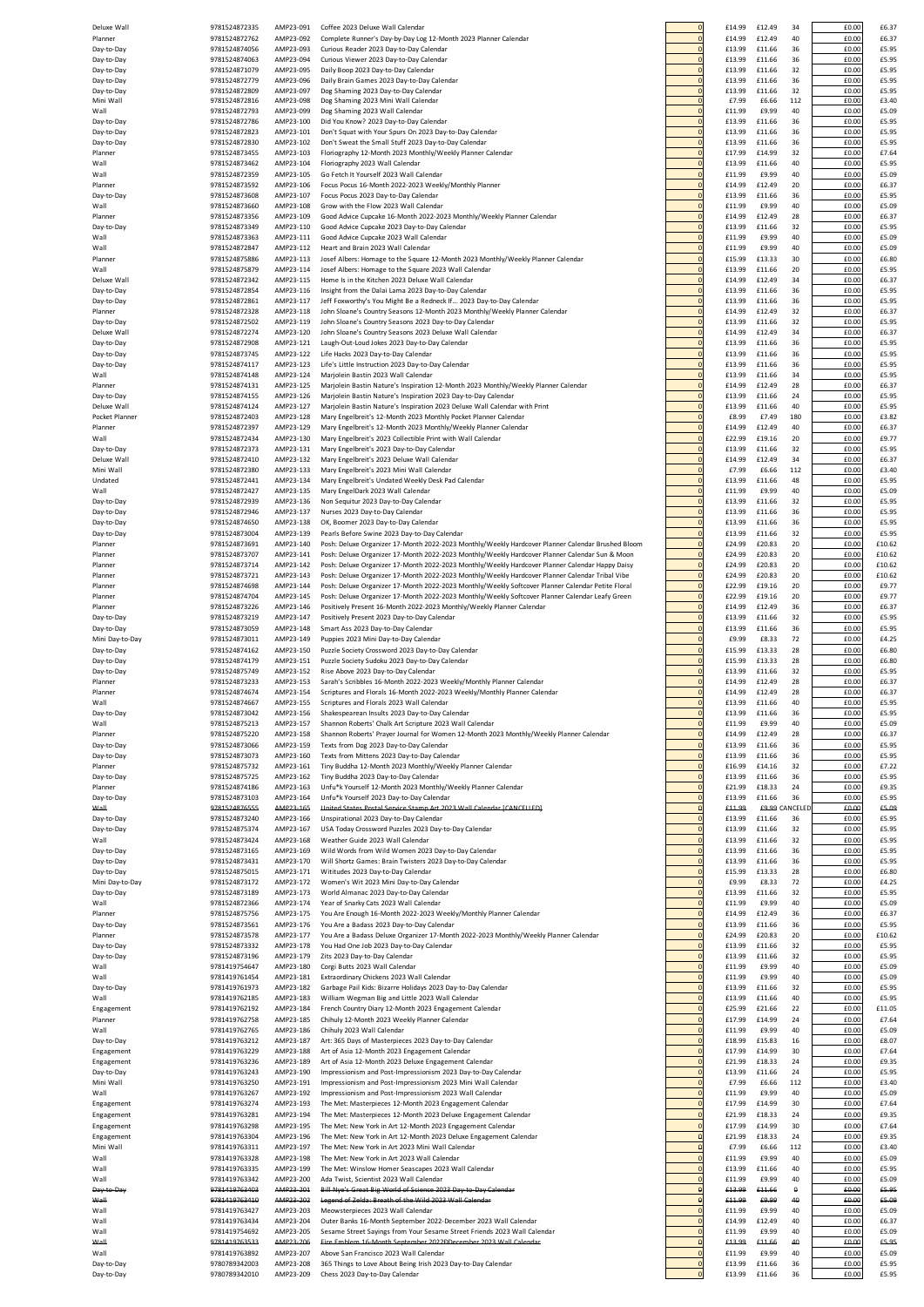| Deluxe Wall               | 9781524872335                  | AMP23-091              | Coffee 2023 Deluxe Wall Calendar                                                                                                                                                                  |                                | £14.99           | £12.49           | 34        | £0.00          | £6.37           |
|---------------------------|--------------------------------|------------------------|---------------------------------------------------------------------------------------------------------------------------------------------------------------------------------------------------|--------------------------------|------------------|------------------|-----------|----------------|-----------------|
| Planner<br>Day-to-Day     | 9781524872762<br>9781524874056 | AMP23-092<br>AMP23-093 | Complete Runner's Day-by-Day Log 12-Month 2023 Planner Calendar<br>Curious Reader 2023 Day-to-Day Calendar                                                                                        | $\mathbf{0}$<br>$\Omega$       | £14.99<br>£13.99 | £12.49<br>£11.66 | 40<br>36  | £0.00<br>£0.00 | £6.3<br>£5.95   |
| Day-to-Day                | 9781524874063                  | AMP23-094              | Curious Viewer 2023 Day-to-Day Calendar                                                                                                                                                           |                                | £13.99           | £11.66           | 36        | £0.00          | £5.95           |
| Day-to-Day                | 9781524871079                  | AMP23-095              | Daily Boop 2023 Day-to-Day Calendar                                                                                                                                                               | $\mathbf{0}$                   | £13.99           | £11.66           | 32        | £0.00          | £5.95           |
| Day-to-Day<br>Day-to-Day  | 9781524872779<br>9781524872809 | AMP23-096<br>AMP23-097 | Daily Brain Games 2023 Day-to-Day Calendar<br>Dog Shaming 2023 Day-to-Day Calendar                                                                                                                | $\mathbf{0}$<br>$\mathbf 0$    | £13.99<br>£13.99 | £11.66<br>£11.66 | 36<br>32  | £0.00<br>£0.00 | £5.95<br>£5.95  |
| Mini Wall                 | 9781524872816                  | AMP23-098              | Dog Shaming 2023 Mini Wall Calendar                                                                                                                                                               | $\mathbf{0}$                   | £7.99            | £6.66            | 112       | £0.00          | £3.40           |
| Wall<br>Day-to-Day        | 9781524872793<br>9781524872786 | AMP23-099<br>AMP23-100 | Dog Shaming 2023 Wall Calendar<br>Did You Know? 2023 Day-to-Day Calendar                                                                                                                          | $\overline{0}$<br>$\mathbf{0}$ | £11.99<br>£13.99 | £9.99<br>£11.66  | 40<br>36  | £0.00<br>£0.00 | £5.09<br>£5.95  |
| Day-to-Day                | 9781524872823                  | AMP23-101              | Don't Squat with Your Spurs On 2023 Day-to-Day Calendar                                                                                                                                           | $\mathbf{0}$                   | £13.99           | £11.66           | 36        | £0.00          | £5.95           |
| Day-to-Day                | 9781524872830                  | AMP23-102              | Don't Sweat the Small Stuff 2023 Day-to-Day Calendar                                                                                                                                              | $\Omega$                       | £13.99           | £11.66           | 36        | £0.00          | £5.95           |
| Planner<br>Wall           | 9781524873455<br>9781524873462 | AMP23-103<br>AMP23-104 | Floriography 12-Month 2023 Monthly/Weekly Planner Calendar<br>Floriography 2023 Wall Calendar                                                                                                     | $\mathbf{0}$<br>$\mathbf{0}$   | £17.99<br>£13.99 | £14.99<br>£11.66 | 32<br>40  | £0.00<br>£0.00 | £7.64<br>£5.95  |
| Wall                      | 9781524872359                  | AMP23-105              | Go Fetch It Yourself 2023 Wall Calendar                                                                                                                                                           | $\mathbf 0$                    | £11.99           | £9.99            | 40        | £0.00          | £5.09           |
| Planner                   | 9781524873592                  | AMP23-106              | Focus Pocus 16-Month 2022-2023 Weekly/Monthly Planner                                                                                                                                             | $\overline{0}$                 | £14.99           | £12.49           | 20        | £0.00          | £6.3            |
| Day-to-Day                | 9781524873608                  | AMP23-107              | Focus Pocus 2023 Day-to-Day Calendar                                                                                                                                                              | $\mathbf{0}$                   | £13.99           | £11.66           | 36        | £0.00          | £5.95           |
| Wall<br>Planner           | 9781524873660<br>9781524873356 | AMP23-108<br>AMP23-109 | Grow with the Flow 2023 Wall Calendar<br>Good Advice Cupcake 16-Month 2022-2023 Monthly/Weekly Planner Calendar                                                                                   | $\circ$<br>$\Omega$            | £11.99<br>£14.99 | £9.99<br>£12.49  | 40<br>28  | £0.00<br>£0.00 | £5.09<br>£6.37  |
| Day-to-Day                | 9781524873349                  | AMP23-110              | Good Advice Cupcake 2023 Day-to-Day Calendar                                                                                                                                                      | $\circ$                        | £13.99           | £11.66           | 32        | £0.00          | £5.95           |
| Wall                      | 9781524873363                  | AMP23-111              | Good Advice Cupcake 2023 Wall Calendar                                                                                                                                                            | $\mathbf 0$                    | £11.99           | £9.99            | 40        | £0.00          | £5.09           |
| Wall<br>Planner           | 9781524872847<br>9781524875886 | AMP23-112<br>AMP23-113 | Heart and Brain 2023 Wall Calendar<br>Josef Albers: Homage to the Square 12-Month 2023 Monthly/Weekly Planner Calendar                                                                            | $\mathbf{0}$<br>$\mathbf 0$    | £11.99<br>£15.99 | £9.99<br>£13.33  | 40<br>30  | £0.00<br>£0.00 | £5.09<br>£6.80  |
| Wall                      | 9781524875879                  | AMP23-114              | Josef Albers: Homage to the Square 2023 Wall Calendar                                                                                                                                             | $\overline{0}$                 | £13.99           | £11.66           | 20        | £0.00          | £5.9            |
| Deluxe Wall               | 9781524872342                  | AMP23-115              | Home Is in the Kitchen 2023 Deluxe Wall Calendar                                                                                                                                                  | $\mathbf{0}$                   | £14.99           | £12.49           | 34        | £0.00          | £6.37           |
| Day-to-Day<br>Day-to-Day  | 9781524872854<br>9781524872861 | AMP23-116<br>AMP23-117 | Insight from the Dalai Lama 2023 Day-to-Day Calendar<br>Jeff Foxworthy's You Might Be a Redneck If 2023 Day-to-Day Calendar                                                                       | $\mathbf{0}$<br>$\mathbf 0$    | £13.99<br>£13.99 | £11.66<br>£11.66 | 36<br>36  | £0.00<br>£0.00 | £5.95<br>£5.95  |
| Planner                   | 9781524872328                  | AMP23-118              | John Sloane's Country Seasons 12-Month 2023 Monthly/Weekly Planner Calendar                                                                                                                       | $\mathbf{0}$                   | £14.99           | £12.49           | 32        | £0.00          | £6.37           |
| Day-to-Day                | 9781524872502                  | AMP23-119              | John Sloane's Country Seasons 2023 Day-to-Day Calendar                                                                                                                                            | $\mathbf{0}$                   | £13.99           | £11.66           | 32        | £0.00          | £5.95           |
| Deluxe Wall<br>Day-to-Day | 9781524872274<br>9781524872908 | AMP23-120<br>AMP23-121 | John Sloane's Country Seasons 2023 Deluxe Wall Calendar<br>Laugh-Out-Loud Jokes 2023 Day-to-Day Calendar                                                                                          | $\mathbf 0$<br>$\Omega$        | £14.99<br>£13.99 | £12.49<br>£11.66 | 34<br>36  | £0.00<br>£0.00 | £6.37<br>£5.95  |
| Day-to-Day                | 9781524873745                  | AMP23-122              | Life Hacks 2023 Day-to-Day Calendar                                                                                                                                                               | $\mathbf 0$                    | £13.99           | £11.66           | 36        | £0.00          | £5.95           |
| Day-to-Day                | 9781524874117                  | AMP23-123              | Life's Little Instruction 2023 Day-to-Day Calendar                                                                                                                                                | $\circ$                        | £13.99           | £11.66           | 36        | £0.00          | £5.9            |
| Wall<br>Planner           | 9781524874148<br>9781524874131 | AMP23-124<br>AMP23-125 | Marjolein Bastin 2023 Wall Calendar<br>Marjolein Bastin Nature's Inspiration 12-Month 2023 Monthly/Weekly Planner Calendar                                                                        | $\mathbf 0$<br>$\mathbf{0}$    | £13.99<br>£14.99 | £11.66<br>£12.49 | 34<br>28  | £0.00<br>£0.00 | £5.95<br>£6.3   |
| Day-to-Day                | 9781524874155                  | AMP23-126              | Marjolein Bastin Nature's Inspiration 2023 Day-to-Day Calendar                                                                                                                                    | $\mathbf 0$                    | £13.99           | £11.66           | 24        | £0.00          | £5.95           |
| Deluxe Wall               | 9781524874124                  | AMP23-127              | Marjolein Bastin Nature's Inspiration 2023 Deluxe Wall Calendar with Print                                                                                                                        | $\mathbf{0}$                   | £13.99           | £11.66           | 40        | £0.00          | £5.95           |
| Pocket Planner<br>Planner | 9781524872403<br>9781524872397 | AMP23-128<br>AMP23-129 | Mary Engelbreit's 12-Month 2023 Monthly Pocket Planner Calendar<br>Mary Engelbreit's 12-Month 2023 Monthly/Weekly Planner Calendar                                                                | $\mathbf 0$<br>$\mathbf{0}$    | £8.99<br>£14.99  | £7.49<br>£12.49  | 180<br>40 | £0.00<br>£0.00 | £3.82<br>£6.37  |
| Wall                      | 9781524872434                  | AMP23-130              | Mary Engelbreit's 2023 Collectible Print with Wall Calendar                                                                                                                                       | $\mathbf{0}$                   | £22.99           | £19.16           | 20        | £0.00          | £9.7            |
| Day-to-Day                | 9781524872373                  | AMP23-131              | Mary Engelbreit's 2023 Day-to-Day Calendar                                                                                                                                                        | $\mathbf{0}$                   | £13.99           | £11.66           | 32        | £0.00          | £5.95           |
| Deluxe Wall               | 9781524872410                  | AMP23-132              | Mary Engelbreit's 2023 Deluxe Wall Calendar                                                                                                                                                       | $\mathbf{0}$                   | £14.99           | £12.49           | 34        | £0.00          | £6.37           |
| Mini Wall<br>Undated      | 9781524872380<br>9781524872441 | AMP23-133<br>AMP23-134 | Mary Engelbreit's 2023 Mini Wall Calendar<br>Mary Engelbreit's Undated Weekly Desk Pad Calendar                                                                                                   | $\mathbf{0}$<br>$\mathbf 0$    | £7.99<br>£13.99  | £6.66<br>£11.66  | 112<br>48 | £0.00<br>£0.00 | £3.40<br>£5.95  |
| Wall                      | 9781524872427                  | AMP23-135              | Mary EngelDark 2023 Wall Calendar                                                                                                                                                                 | $\mathbf 0$                    | £11.99           | £9.99            | 40        | £0.00          | £5.09           |
| Day-to-Day                | 9781524872939                  | AMP23-136              | Non Sequitur 2023 Day-to-Day Calendar                                                                                                                                                             | $\overline{0}$                 | £13.99           | £11.66           | 32        | £0.00          | £5.95           |
| Day-to-Day<br>Day-to-Day  | 9781524872946<br>9781524874650 | AMP23-137<br>AMP23-138 | Nurses 2023 Day-to-Day Calendar<br>OK, Boomer 2023 Day-to-Day Calendar                                                                                                                            | $\mathbf{0}$<br>$\mathbf{0}$   | £13.99<br>£13.99 | £11.66<br>£11.66 | 36<br>36  | £0.00<br>£0.00 | £5.95<br>£5.9   |
| Day-to-Day                | 9781524873004                  | AMP23-139              | Pearls Before Swine 2023 Day-to-Day Calendar                                                                                                                                                      | $\mathbf{0}$                   | £13.99           | £11.66           | 32        | £0.00          | £5.95           |
| Planner                   | 9781524873691                  | AMP23-140              | Posh: Deluxe Organizer 17-Month 2022-2023 Monthly/Weekly Hardcover Planner Calendar Brushed Bloom                                                                                                 | $\mathbf{0}$                   | £24.99           | £20.83           | 20        | £0.00          | £10.6           |
| Planner<br>Planner        | 9781524873707<br>9781524873714 | AMP23-141<br>AMP23-142 | Posh: Deluxe Organizer 17-Month 2022-2023 Monthly/Weekly Hardcover Planner Calendar Sun & Moon<br>Posh: Deluxe Organizer 17-Month 2022-2023 Monthly/Weekly Hardcover Planner Calendar Happy Daisy | $\mathbf 0$<br>$\pmb{0}$       | £24.99<br>£24.99 | £20.83<br>£20.83 | 20<br>20  | £0.00<br>£0.00 | £10.62<br>£10.6 |
| Planner                   | 9781524873721                  | AMP23-143              | Posh: Deluxe Organizer 17-Month 2022-2023 Monthly/Weekly Hardcover Planner Calendar Tribal Vibe                                                                                                   | $\mathbf 0$                    | £24.99           | £20.83           | 20        | £0.00          | £10.62          |
| Planner                   | 9781524874698                  | AMP23-144              | Posh: Deluxe Organizer 17-Month 2022-2023 Monthly/Weekly Softcover Planner Calendar Petite Floral                                                                                                 | $\mathbf{0}$                   | £22.99           | £19.16           | 20        | £0.00          | £9.7            |
| Planner<br>Planner        | 9781524874704<br>9781524873226 | AMP23-145<br>AMP23-146 | Posh: Deluxe Organizer 17-Month 2022-2023 Monthly/Weekly Softcover Planner Calendar Leafy Green<br>Positively Present 16-Month 2022-2023 Monthly/Weekly Planner Calendar                          | $\mathbf{0}$<br>$\mathbf{0}$   | £22.99<br>£14.99 | £19.16<br>£12.49 | 20<br>36  | £0.00<br>£0.00 | £9.7<br>£6.37   |
| Day-to-Day                | 9781524873219                  | AMP23-147              | Positively Present 2023 Day-to-Day Calendar                                                                                                                                                       | $\mathbf{0}$                   | £13.99           | £11.66           | 32        | £0.00          | £5.95           |
| Day-to-Day                | 9781524873059                  | AMP23-148              | Smart Ass 2023 Day-to-Day Calendar                                                                                                                                                                | $\mathbf{0}$                   | £13.99           | £11.66           | 36        | £0.00          | £5.95           |
| Mini Day-to-Day           | 9781524873011<br>9781524874162 | AMP23-149<br>AMP23-150 | Puppies 2023 Mini Day-to-Day Calendar                                                                                                                                                             | $\mathbf{0}$<br>$\Omega$       | £9.99            | £8.33            | 72<br>28  | £0.00<br>£0.00 | £4.25<br>£6.80  |
| Day-to-Day<br>Day-to-Day  | 9781524874179                  | AMP23-151              | Puzzle Society Crossword 2023 Day-to-Day Calendar<br>Puzzle Society Sudoku 2023 Day-to-Day Calendar                                                                                               | $\overline{0}$                 | £15.99<br>£15.99 | £13.33<br>£13.33 | 28        | £0.00          | £6.80           |
| Day-to-Day                | 9781524875749                  | AMP23-152              | Rise Above 2023 Day-to-Day Calendar                                                                                                                                                               | $\mathbf{0}$                   | £13.99           | £11.66           | 32        | £0.00          | £5.95           |
| Planner                   | 9781524873233                  | AMP23-153              | Sarah's Scribbles 16-Month 2022-2023 Weekly/Monthly Planner Calendar                                                                                                                              | $\mathbf{0}$                   | £14.99           | £12.49           | 28        | £0.00          | £6.3            |
| Planner<br>Wall           | 9781524874674<br>9781524874667 | AMP23-154<br>AMP23-155 | Scriptures and Florals 16-Month 2022-2023 Weekly/Monthly Planner Calendar<br>Scriptures and Florals 2023 Wall Calendar                                                                            | $\mathbf{0}$                   | £14.99<br>£13.99 | £12.49<br>£11.66 | 28<br>40  | £0.00<br>£0.00 | £6.3<br>£5.95   |
| Day-to-Day                | 9781524873042                  | AMP23-156              | Shakespearean Insults 2023 Day-to-Day Calenda                                                                                                                                                     |                                | £13.99           | £11.66           | 36        | £0.00          | £5.95           |
| Wall                      | 9781524875213                  | AMP23-157              | Shannon Roberts' Chalk Art Scripture 2023 Wall Calendar                                                                                                                                           | $\Omega$                       | £11.99           | £9.99            | 40        | £0.00          | £5.09           |
| Planner<br>Day-to-Day     | 9781524875220<br>9781524873066 | AMP23-158<br>AMP23-159 | Shannon Roberts' Prayer Journal for Women 12-Month 2023 Monthly/Weekly Planner Calendar<br>Texts from Dog 2023 Day-to-Day Calendar                                                                | $\overline{0}$<br>$\mathbf 0$  | £14.99<br>£13.99 | £12.49<br>£11.66 | 28<br>36  | £0.00<br>£0.00 | £6.3<br>£5.95   |
| Day-to-Day                | 9781524873073                  | AMP23-160              | Texts from Mittens 2023 Day-to-Day Calendar                                                                                                                                                       | $\mathbf{0}$                   | £13.99           | £11.66           | 36        | £0.00          | £5.9            |
| Planner                   | 9781524875732                  | AMP23-161              | Tiny Buddha 12-Month 2023 Monthly/Weekly Planner Calendar                                                                                                                                         | $\mathbf 0$                    | £16.99           | £14.16           | 32        | £0.00          | £7.22           |
| Day-to-Day<br>Planner     | 9781524875725<br>9781524874186 | AMP23-162<br>AMP23-163 | Tiny Buddha 2023 Day-to-Day Calendar<br>Unfu*k Yourself 12-Month 2023 Monthly/Weekly Planner Calendar                                                                                             | $\circ$<br>$\mathbf 0$         | £13.99<br>£21.99 | £11.66<br>£18.33 | 36<br>24  | £0.00<br>£0.00 | £5.95<br>£9.35  |
| Day-to-Day                | 9781524873103                  | AMP23-164              | Unfu*k Yourself 2023 Day-to-Day Calendar                                                                                                                                                          | $\mathbf{0}$                   | £13.99           | £11.66           | 36        | £0.00          | £5.95           |
| Wall                      | 9781524876555                  | AMP23-165              | United States Postal Service Stamp Art 2023 Wall Calendar (CANCELLED)                                                                                                                             | $\theta$                       | £11.99           | £9.99            | ANCELEI   | £0.00          | £5.09           |
| Day-to-Day<br>Day-to-Day  | 9781524873240<br>9781524875374 | AMP23-166<br>AMP23-167 | Unspirational 2023 Day-to-Day Calendar<br>USA Today Crossword Puzzles 2023 Day-to-Day Calendar                                                                                                    | $\mathbf{0}$<br>$\mathbf{0}$   | £13.99<br>£13.99 | £11.66<br>£11.66 | 36<br>32  | £0.00<br>£0.00 | £5.95<br>£5.9   |
| Wall                      | 9781524873424                  | AMP23-168              | Weather Guide 2023 Wall Calendar                                                                                                                                                                  | $\mathbf{0}$                   | £13.99           | £11.66           | 32        | £0.00          | £5.95           |
| Day-to-Day                | 9781524873165                  | AMP23-169              | Wild Words from Wild Women 2023 Day-to-Day Calendar                                                                                                                                               | $\mathbf{0}$                   | £13.99           | £11.66           | 36        | £0.00          | £5.95           |
| Day-to-Day<br>Day-to-Day  | 9781524873431<br>9781524875015 | AMP23-170<br>AMP23-171 | Will Shortz Games: Brain Twisters 2023 Day-to-Day Calendar<br>Wititudes 2023 Day-to-Day Calendar                                                                                                  | $\mathbf{0}$<br>$\mathbf{0}$   | £13.99<br>£15.99 | £11.66<br>£13.33 | 36<br>28  | £0.00<br>£0.00 | £5.9<br>£6.80   |
| Mini Day-to-Day           | 9781524873172                  | AMP23-172              | Women's Wit 2023 Mini Day-to-Day Calendar                                                                                                                                                         | $\mathbf 0$                    | £9.99            | £8.33            | 72        | £0.00          | £4.25           |
| Day-to-Day                | 9781524873189                  | AMP23-173              | World Almanac 2023 Day-to-Day Calendar                                                                                                                                                            | $\mathbf{0}$                   | £13.99           | £11.66           | 32        | £0.00          | £5.9            |
| Wall<br>Planner           | 9781524872366<br>9781524875756 | AMP23-174<br>AMP23-175 | Year of Snarky Cats 2023 Wall Calendar<br>You Are Enough 16-Month 2022-2023 Weekly/Monthly Planner Calendar                                                                                       | $\mathbf{0}$<br>$\mathbf{0}$   | £11.99<br>£14.99 | £9.99<br>£12.49  | 40<br>36  | £0.00<br>£0.00 | £5.09<br>£6.3   |
| Day-to-Day                | 9781524873561                  | AMP23-176              | You Are a Badass 2023 Day-to-Day Calendar                                                                                                                                                         | $\mathbf 0$                    | £13.99           | £11.66           | 36        | £0.00          | £5.95           |
| Planner                   | 9781524873578<br>9781524873332 | AMP23-177<br>AMP23-178 | You Are a Badass Deluxe Organizer 17-Month 2022-2023 Monthly/Weekly Planner Calendar<br>You Had One Job 2023 Day-to-Day Calendar                                                                  | $\mathbf{0}$<br>$\mathbf 0$    | £24.99<br>£13.99 | £20.83<br>£11.66 | 20<br>32  | £0.00<br>£0.00 | £10.62<br>£5.95 |
| Day-to-Day<br>Day-to-Day  | 9781524873196                  | AMP23-179              | Zits 2023 Day-to-Day Calendar                                                                                                                                                                     | $\mathbf{0}$                   | £13.99           | £11.66           | 32        | £0.00          | £5.95           |
| Wall                      | 9781419754647                  | AMP23-180              | Corgi Butts 2023 Wall Calendar                                                                                                                                                                    | $\pmb{0}$                      | £11.99           | £9.99            | 40        | £0.00          | £5.09           |
| Wall                      | 9781419761454                  | AMP23-181              | Extraordinary Chickens 2023 Wall Calendar                                                                                                                                                         | $\pmb{0}$                      | £11.99           | £9.99            | 40        | £0.00          | £5.09           |
| Day-to-Day<br>Wall        | 9781419761973<br>9781419762185 | AMP23-182<br>AMP23-183 | Garbage Pail Kids: Bizarre Holidays 2023 Day-to-Day Calendar<br>William Wegman Big and Little 2023 Wall Calendar                                                                                  | $\mathbf{0}$<br>$\mathbf{0}$   | £13.99<br>£13.99 | £11.66<br>£11.66 | 32<br>40  | £0.00<br>£0.00 | £5.9<br>£5.95   |
| Engagement                | 9781419762192                  | AMP23-184              | French Country Diary 12-Month 2023 Engagement Calendar                                                                                                                                            | $\mathbf{0}$                   | £25.99           | £21.66           | 22        | £0.00          | £11.0           |
| Planner                   | 9781419762758                  | AMP23-185              | Chihuly 12-Month 2023 Weekly Planner Calendar                                                                                                                                                     | $\mathbf{0}$                   | £17.99           | £14.99           | 24        | £0.00          | £7.64           |
| Wall<br>Day-to-Day        | 9781419762765<br>9781419763212 | AMP23-186<br>AMP23-187 | Chihuly 2023 Wall Calendar<br>Art: 365 Days of Masterpieces 2023 Day-to-Day Calendar                                                                                                              | $\circ$<br>$\mathbf 0$         | £11.99<br>£18.99 | £9.99<br>£15.83  | 40<br>16  | £0.00<br>£0.00 | £5.09<br>£8.07  |
| Engagement                | 9781419763229                  | AMP23-188              | Art of Asia 12-Month 2023 Engagement Calendar                                                                                                                                                     | $\mathbf{0}$                   | £17.99           | £14.99           | 30        | £0.00          | £7.64           |
| Engagement                | 9781419763236                  | AMP23-189              | Art of Asia 12-Month 2023 Deluxe Engagement Calendar                                                                                                                                              | $\mathbf{0}$                   | £21.99           | £18.33           | 24        | £0.00          | £9.35           |
| Day-to-Day<br>Mini Wall   | 9781419763243<br>9781419763250 | AMP23-190<br>AMP23-191 | Impressionism and Post-Impressionism 2023 Day-to-Day Calendar<br>Impressionism and Post-Impressionism 2023 Mini Wall Calendar                                                                     | $\mathbf{0}$<br>$\mathbf{0}$   | £13.99<br>£7.99  | £11.66<br>£6.66  | 24<br>112 | £0.00<br>£0.00 | £5.9<br>£3.40   |
| Wall                      | 9781419763267                  | AMP23-192              | Impressionism and Post-Impressionism 2023 Wall Calendar                                                                                                                                           | $\overline{0}$                 | £11.99           | £9.99            | 40        | £0.00          | £5.09           |
| Engagement                | 9781419763274                  | AMP23-193              | The Met: Masterpieces 12-Month 2023 Engagement Calendar                                                                                                                                           | $\mathbf 0$                    | £17.99           | £14.99           | 30        | £0.00          | £7.64           |
| Engagement                | 9781419763281<br>9781419763298 | AMP23-194<br>AMP23-195 | The Met: Masterpieces 12-Month 2023 Deluxe Engagement Calendar<br>The Met: New York in Art 12-Month 2023 Engagement Calendar                                                                      | $\mathbf{0}$<br>$\mathbf{0}$   | £21.99<br>£17.99 | £18.33<br>£14.99 | 24<br>30  | £0.00<br>£0.00 | £9.3<br>£7.64   |
| Engagement<br>Engagement  | 9781419763304                  | AMP23-196              | The Met: New York in Art 12-Month 2023 Deluxe Engagement Calendar                                                                                                                                 | $\mathbf 0$                    | £21.99           | £18.33           | 24        | £0.00          | £9.3            |
| Mini Wall                 | 9781419763311                  | AMP23-197              | The Met: New York in Art 2023 Mini Wall Calendar                                                                                                                                                  | $\Omega$                       | £7.99            | £6.66            | 112       | £0.00          | £3.40           |
| Wall                      | 9781419763328                  | AMP23-198              | The Met: New York in Art 2023 Wall Calendar                                                                                                                                                       | $\overline{0}$                 | £11.99           | £9.99            | 40        | £0.00          | £5.09           |
| Wall<br>Wall              | 9781419763335<br>9781419763342 | AMP23-199<br>AMP23-200 | The Met: Winslow Homer Seascapes 2023 Wall Calendar<br>Ada Twist, Scientist 2023 Wall Calendar                                                                                                    | $\mathbf{0}$<br>$\mathbf{0}$   | £13.99<br>£11.99 | £11.66<br>£9.99  | 40<br>40  | £0.00<br>£0.00 | £5.95<br>£5.09  |
| Day to Day                | 9781419763403                  | AMP23-201              | Bill Nye's Great Big World of Science 2023 Day to Day Calendar                                                                                                                                    | $\theta$                       | £13.99           | £11.66           | $\bf{0}$  | £0.00          | £5.95           |
| Wall                      | 9781419763410                  | AMP23-202              | Legend of Zelda: Breath of the Wild 2023 Wall Calendar                                                                                                                                            | $\Theta$<br>$\mathbf{0}$       | £11.99           | £9.99            | 40        | £0.00          | £5.09           |
| Wall<br>Wall              | 9781419763427<br>9781419763434 | AMP23-203<br>AMP23-204 | Meowsterpieces 2023 Wall Calendar<br>Outer Banks 16-Month September 2022-December 2023 Wall Calendar                                                                                              | $\mathbf{0}$                   | £11.99<br>£14.99 | £9.99<br>£12.49  | 40<br>40  | £0.00<br>£0.00 | £5.09<br>£6.3   |
| Wall                      | 9781419754692                  | AMP23-205              | Sesame Street Sayings from Your Sesame Street Friends 2023 Wall Calendar                                                                                                                          | $\mathbf 0$                    | £11.99           | £9.99            | 40        | £0.00          | £5.09           |
| Wall                      | 9781419763533                  | AMP23-206              | Fire Emblem 16 Month September 2022DDecember 2023 Wall Calendar                                                                                                                                   | $\theta$                       | £13.99           | £11.66           | 40        | £0.00          | £5.95           |
| Wall<br>Day-to-Day        | 9781419763892<br>9780789342003 | AMP23-207<br>AMP23-208 | Above San Francisco 2023 Wall Calendar<br>365 Things to Love About Being Irish 2023 Day-to-Day Calendar                                                                                           | $\mathbf 0$<br>$\mathbf 0$     | £11.99<br>£13.99 | £9.99<br>£11.66  | 40<br>36  | £0.00<br>£0.00 | £5.09<br>£5.9   |
| Day-to-Day                | 9780789342010                  | AMP23-209              | Chess 2023 Day-to-Day Calendar                                                                                                                                                                    |                                | £13.99           | £11.66           | 36        | £0.00          | £5.9            |
|                           |                                |                        |                                                                                                                                                                                                   |                                |                  |                  |           |                |                 |

| 0                                | £14.99           | £12.49           | 34                   | £0.00          | £6.37            |
|----------------------------------|------------------|------------------|----------------------|----------------|------------------|
| $\mathbf{0}$<br>o                | £14.99<br>£13.99 | £12.49<br>£11.66 | 40<br>36             | £0.00<br>£0.00 | £6.37<br>£5.95   |
| $\overline{0}$                   | £13.99           | £11.66           | 36                   | £0.00          | £5.95            |
| 0<br>O                           | £13.99<br>£13.99 | £11.66<br>£11.66 | 32<br>36             | £0.00<br>£0.00 | £5.95<br>£5.95   |
| 0                                | £13.99           | £11.66           | 32                   | £0.00          | £5.95            |
| O<br>0                           | £7.99<br>£11.99  | £6.66<br>£9.99   | 112<br>40            | £0.00<br>£0.00 | £3.40<br>£5.09   |
| 0                                | £13.99           | £11.66           | 36                   | £0.00          | £5.95            |
| 0<br>$\overline{0}$              | £13.99<br>£13.99 | £11.66<br>£11.66 | 36<br>36             | £0.00<br>£0.00 | £5.95<br>£5.95   |
| 0                                | £17.99           | £14.99           | 32                   | £0.00          | £7.64            |
| $\overline{0}$                   | £13.99           | £11.66           | 40                   | £0.00          | £5.95            |
| O<br>$\overline{0}$              | £11.99<br>£14.99 | £9.99<br>£12.49  | 40<br>20             | £0.00<br>£0.00 | £5.09<br>£6.37   |
| O                                | £13.99           | £11.66           | 36                   | £0.00          | £5.95            |
| $\overline{0}$<br>0              | £11.99<br>£14.99 | £9.99<br>£12.49  | 40<br>28             | £0.00<br>£0.00 | £5.09<br>£6.37   |
| 0                                | £13.99           | £11.66           | 32                   | £0.00          | £5.95            |
| O<br>0                           | £11.99<br>£11.99 | £9.99<br>£9.99   | 40<br>40             | £0.00<br>£0.00 | £5.09<br>£5.09   |
| 0                                | £15.99           | £13.33           | 30                   | £0.00          | £6.80            |
| 0<br>$\mathbf{0}$                | £13.99<br>£14.99 | £11.66<br>£12.49 | 20<br>34             | £0.00<br>£0.00 | £5.95<br>£6.37   |
| 0                                | £13.99           | £11.66           | 36                   | £0.00          | £5.95            |
| $\overline{0}$<br>O              | £13.99<br>£14.99 | £11.66<br>£12.49 | 36<br>32             | £0.00<br>£0.00 | £5.95<br>£6.37   |
| $\overline{0}$                   | £13.99           | £11.66           | 32                   | £0.00          | £5.95            |
| O<br>$\overline{0}$              | £14.99<br>£13.99 | £12.49<br>£11.66 | 34<br>36             | £0.00<br>£0.00 | £6.37<br>£5.95   |
| O                                | £13.99           | £11.66           | 36                   | £0.00          | £5.95            |
| $\overline{0}$                   | £13.99           | £11.66           | 36                   | £0.00          | £5.95            |
| 0<br>0                           | £13.99<br>£14.99 | £11.66<br>£12.49 | 34<br>28             | £0.00<br>£0.00 | £5.95<br>£6.37   |
| O                                | £13.99           | £11.66           | 24                   | £0.00          | £5.95            |
| 0<br>0                           | £13.99<br>£8.99  | £11.66<br>£7.49  | 40<br>180            | £0.00<br>£0.00 | £5.95<br>£3.82   |
| 0                                | £14.99           | £12.49           | 40                   | £0.00          | £6.37            |
| $\mathbf{0}$<br>0                | £22.99<br>£13.99 | £19.16<br>£11.66 | 20<br>32             | £0.00<br>£0.00 | £9.77<br>£5.95   |
| $\overline{0}$                   | £14.99           | £12.49           | 34                   | £0.00          | £6.37            |
| O<br>$\overline{0}$              | £7.99<br>£13.99  | £6.66<br>£11.66  | 112<br>48            | £0.00<br>£0.00 | £3.40<br>£5.95   |
| O                                | £11.99           | £9.99            | 40                   | £0.00          | £5.09            |
| $\overline{0}$                   | £13.99           | £11.66           | 32                   | £0.00          | £5.95            |
| O<br>$\overline{0}$              | £13.99<br>£13.99 | £11.66<br>£11.66 | 36<br>36             | £0.00<br>£0.00 | £5.95<br>£5.95   |
| $\overline{0}$                   | £13.99           | £11.66           | 32                   | £0.00          | £5.95            |
| 0<br>0                           | £24.99<br>£24.99 | £20.83<br>£20.83 | 20<br>20             | £0.00<br>£0.00 | £10.62<br>£10.62 |
| 0                                | £24.99           | £20.83           | 20                   | £0.00          | £10.62           |
| 0<br>0                           | £24.99<br>£22.99 | £20.83<br>£19.16 | 20<br>20             | £0.00<br>£0.00 | £10.62<br>£9.77  |
| $\overline{0}$                   | £22.99           | £19.16           | 20                   | £0.00          | £9.77            |
| O<br>$\overline{0}$              | £14.99<br>£13.99 | £12.49<br>£11.66 | 36<br>32             | £0.00<br>£0.00 | £6.37<br>£5.95   |
| O                                | £13.99           | £11.66           | 36                   | £0.00          | £5.95            |
| $\overline{0}$<br>$\overline{0}$ | £9.99<br>£15.99  | £8.33<br>£13.33  | 72<br>28             | £0.00<br>£0.00 | £4.25<br>£6.80   |
| 0                                | £15.99           | £13.33           | 28                   | £0.00          | £6.80            |
| $\overline{0}$<br>O              | £13.99           | £11.66           | 32                   | £0.00          | £5.95            |
| $\overline{0}$                   | £14.99<br>£14.99 | £12.49<br>£12.49 | 28<br>28             | £0.00<br>£0.00 | £6.37<br>£6.37   |
| 0                                | £13.99           | £11.66           | 40<br>36             | £0.00          | £5.95<br>£5.95   |
| $\overline{0}$<br>O              | £13.99<br>£11.99 | £11.66<br>£9.99  | 40                   | £0.00<br>£0.00 | £5.09            |
| 0                                | £14.99           | £12.49           | 28                   | £0.00          | £6.37            |
| 0<br>0                           | £13.99<br>£13.99 | £11.66<br>£11.66 | 36<br>36             | £0.00<br>£0.00 | £5.95<br>£5.95   |
| 0                                | £16.99           | £14.16           | 32                   | £0.00          | £7.22            |
| 0<br>0                           | £13.99<br>£21.99 | £11.66<br>£18.33 | 36<br>24             | £0.00<br>£0.00 | £5.95<br>£9.35   |
| 0                                | £13.99           | £11.66           | 36                   | £0.00          | £5.95            |
| $\theta$<br>0                    | £11.99<br>£13.99 | £11.66           | £9.99 CANCELED<br>36 | £0.00<br>£0.00 | £5.09<br>£5.95   |
| $\mathbf 0$                      | £13.99           | £11.66           | 32                   | £0.00          | £5.95            |
| O<br>$\overline{0}$              | £13.99<br>£13.99 | £11.66<br>£11.66 | 32<br>36             | £0.00<br>£0.00 | £5.95<br>£5.95   |
| O                                | £13.99           | £11.66           | 36                   | £0.00          | £5.95            |
| O                                | £15.99           | £13.33<br>£8.33  | 28                   | £0.00          | £6.80<br>£4.25   |
| 0<br>0                           | £9.99<br>£13.99  | £11.66           | 72<br>32             | £0.00<br>£0.00 | £5.95            |
| 0<br>0                           | £11.99<br>£14.99 | £9.99<br>£12.49  | 40<br>36             | £0.00<br>£0.00 | £5.09<br>£6.37   |
| 0                                | £13.99           | £11.66           | 36                   | £0.00          | £5.95            |
| 0<br>0                           | £24.99<br>£13.99 | £20.83<br>£11.66 | 20<br>32             | £0.00<br>£0.00 | £10.62<br>£5.95  |
| 0                                | £13.99           | £11.66           | 32                   | £0.00          | £5.95            |
| $\overline{0}$                   | £11.99           | £9.99            | 40                   | £0.00          | £5.09            |
| O<br>$\mathbf 0$                 | £11.99<br>£13.99 | £9.99<br>£11.66  | 40<br>32             | £0.00<br>£0.00 | £5.09<br>£5.95   |
| O                                | £13.99           | £11.66           | 40                   | £0.00          | £5.95            |
| $\overline{0}$<br>O              | £25.99<br>£17.99 | £21.66<br>£14.99 | 22<br>24             | £0.00<br>£0.00 | £11.05<br>£7.64  |
| 0                                | £11.99           | £9.99            | 40                   | £0.00          | £5.09            |
| 0<br>0                           | £18.99<br>£17.99 | £15.83<br>£14.99 | 16<br>30             | £0.00<br>£0.00 | £8.07<br>£7.64   |
| 0                                | £21.99           | £18.33           | 24                   | £0.00          | £9.35            |
| 0<br>0                           | £13.99<br>£7.99  | £11.66<br>£6.66  | 24<br>112            | £0.00<br>£0.00 | £5.95<br>£3.40   |
| 0                                | £11.99           | £9.99            | 40                   | £0.00          | £5.09            |
| $\mathbf 0$<br>0                 | £17.99<br>£21.99 | £14.99<br>£18.33 | 30<br>24             | £0.00<br>£0.00 | £7.64<br>£9.35   |
| O                                | £17.99           | £14.99           | 30                   | £0.00          | £7.64            |
| ٥                                | £21.99           | £18.33           | 24                   | £0.00          | £9.35            |
| 0<br>$\overline{0}$              | £7.99<br>£11.99  | £6.66<br>£9.99   | 112<br>40            | £0.00<br>£0.00 | £3.40<br>£5.09   |
| O                                | £13.99           | £11.66           | 40                   | £0.00          | £5.95            |
| 0<br>θ                           | £11.99<br>£13.99 | £9.99<br>£11.66  | 40<br>0              | £0.00<br>£0.00 | £5.09<br>£5.95   |
| $\theta$                         | £11.99           | £9.99            | 40                   | £0.00          | £5.09            |
| 0<br>0                           | £11.99<br>£14.99 | £9.99<br>£12.49  | 40<br>40             | £0.00<br>£0.00 | £5.09<br>£6.37   |
| 0                                | £11.99           | £9.99            | 40                   | £0.00          | £5.09            |
| θ                                | £13.99           | £11.66           | 40                   | £0.00          | £5.95            |
| $\mathbf 0$<br>0                 | £11.99<br>£13.99 | £9.99<br>£11.66  | 40<br>36             | £0.00<br>£0.00 | £5.09<br>£5.95   |
| $\mathbf 0$                      | £13.99           | £11.66           | 36                   | £0.00          | £5.95            |